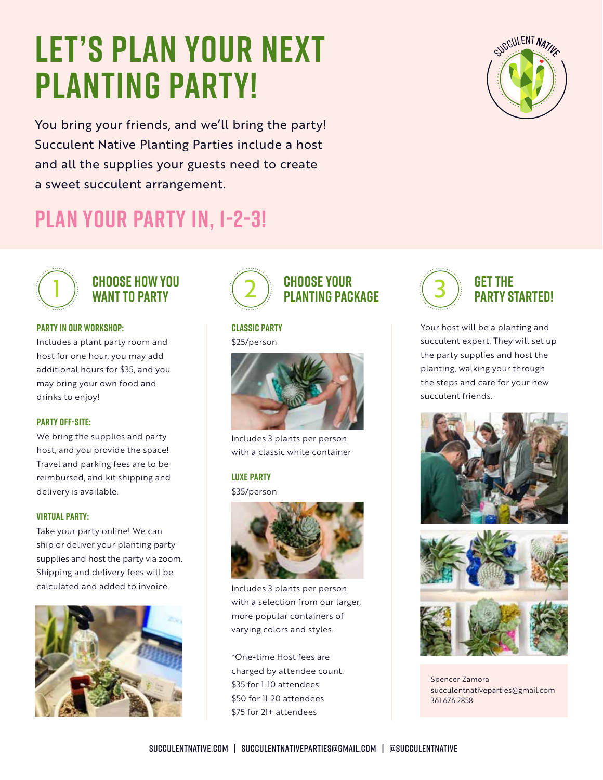# **LET's PLAN YOUR NEXT PLANTING PARTY!**

You bring your friends, and we'll bring the party! Succulent Native Planting Parties include a host and all the supplies your guests need to create a sweet succulent arrangement.



## **Plan your party in, 1-2-3!**



#### **Choose HOW YOU WANT TO PARTY**

#### **Party in our workshop:**

Includes a plant party room and host for one hour, you may add additional hours for \$35, and you may bring your own food and drinks to enjoy!

#### **Party Off-site:**

We bring the supplies and party host, and you provide the space! Travel and parking fees are to be reimbursed, and kit shipping and delivery is available.

#### **Virtual Party:**

Take your party online! We can ship or deliver your planting party supplies and host the party via zoom. Shipping and delivery fees will be calculated and added to invoice.





### **Classic Party**

\$25/person



Includes 3 plants per person with a classic white container

#### **Luxe Party**

\$35/person



Includes 3 plants per person with a selection from our larger, more popular containers of varying colors and styles.

\*One-time Host fees are charged by attendee count: \$35 for 1-10 attendees \$50 for 11-20 attendees \$75 for 21+ attendees



Your host will be a planting and succulent expert. They will set up the party supplies and host the planting, walking your through the steps and care for your new succulent friends.





Spencer Zamora succulentnativeparties@gmail.com 361.676.2858